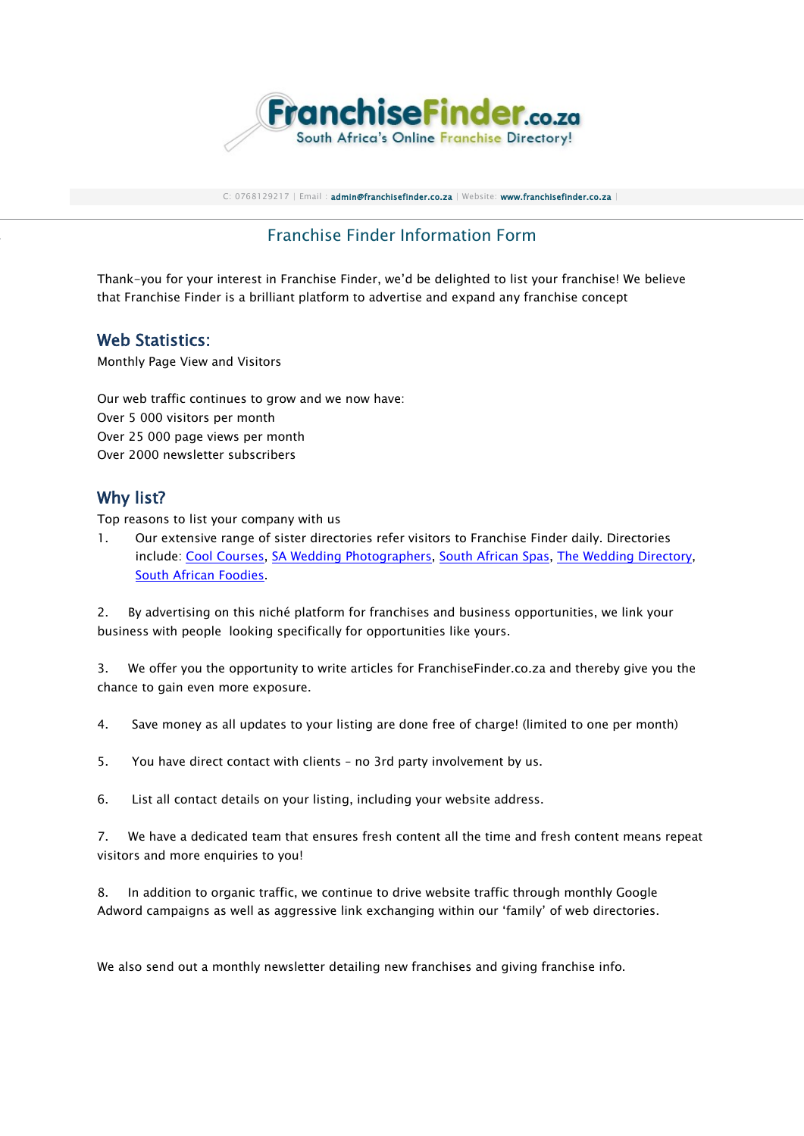

C: 0768129217 | Email : [admin@franchisefinder.co.za](mailto:admin@franchisefinder.co.za) | Website: [www.franchisefinder.co.za](http://www.franchisefinder.co.za/)

# Franchise Finder Information Form

Thank-you for your interest in Franchise Finder, we'd be delighted to list your franchise! We believe that Franchise Finder is a brilliant platform to advertise and expand any franchise concept

#### Web Statistics:

Monthly Page View and Visitors

Our web traffic continues to grow and we now have: Over 5 000 visitors per month Over 25 000 page views per month Over 2000 newsletter subscribers

### Why list?

Top reasons to list your company with us

1. Our extensive range of sister directories refer visitors to Franchise Finder daily. Directories include: [Cool Courses,](http://www.coolcourses.co.za/) [SA Wedding Photographers,](http://www.saweddingphotographers.co.za/) [South African Spas,](http://www.southafricanspas.co.za/) [The Wedding Directory,](http://www.theweddingdirectory.co.za/) [South African Foodies.](http://www.southafricanfoodies.co.za/)

2. By advertising on this niché platform for franchises and business opportunities, we link your business with people looking specifically for opportunities like yours.

3. We offer you the opportunity to write articles for FranchiseFinder.co.za and thereby give you the chance to gain even more exposure.

4. Save money as all updates to your listing are done free of charge! (limited to one per month)

5. You have direct contact with clients – no 3rd party involvement by us.

6. List all contact details on your listing, including your website address.

7. We have a dedicated team that ensures fresh content all the time and fresh content means repeat visitors and more enquiries to you!

8. In addition to organic traffic, we continue to drive website traffic through monthly Google Adword campaigns as well as aggressive link exchanging within our 'family' of web directories.

We also send out a monthly newsletter detailing new franchises and giving franchise info.